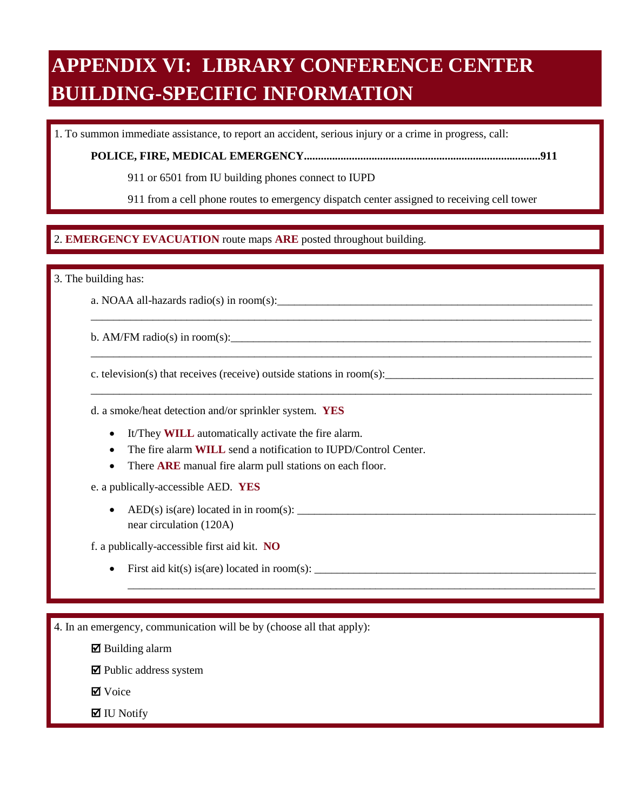# **APPENDIX VI: LIBRARY CONFERENCE CENTER BUILDING-SPECIFIC INFORMATION**

1. To summon immediate assistance, to report an accident, serious injury or a crime in progress, call:

**POLICE, FIRE, MEDICAL EMERGENCY....................................................................................911** 

911 or 6501 from IU building phones connect to IUPD

911 from a cell phone routes to emergency dispatch center assigned to receiving cell tower

\_\_\_\_\_\_\_\_\_\_\_\_\_\_\_\_\_\_\_\_\_\_\_\_\_\_\_\_\_\_\_\_\_\_\_\_\_\_\_\_\_\_\_\_\_\_\_\_\_\_\_\_\_\_\_\_\_\_\_\_\_\_\_\_\_\_\_\_\_\_\_\_\_\_\_\_\_\_\_\_\_\_\_\_\_\_\_\_\_

\_\_\_\_\_\_\_\_\_\_\_\_\_\_\_\_\_\_\_\_\_\_\_\_\_\_\_\_\_\_\_\_\_\_\_\_\_\_\_\_\_\_\_\_\_\_\_\_\_\_\_\_\_\_\_\_\_\_\_\_\_\_\_\_\_\_\_\_\_\_\_\_\_\_\_\_\_\_\_\_\_\_\_\_\_\_\_\_\_

\_\_\_\_\_\_\_\_\_\_\_\_\_\_\_\_\_\_\_\_\_\_\_\_\_\_\_\_\_\_\_\_\_\_\_\_\_\_\_\_\_\_\_\_\_\_\_\_\_\_\_\_\_\_\_\_\_\_\_\_\_\_\_\_\_\_\_\_\_\_\_\_\_\_\_\_\_\_\_\_\_\_\_\_\_\_\_\_\_

\_\_\_\_\_\_\_\_\_\_\_\_\_\_\_\_\_\_\_\_\_\_\_\_\_\_\_\_\_\_\_\_\_\_\_\_\_\_\_\_\_\_\_\_\_\_\_\_\_\_\_\_\_\_\_\_\_\_\_\_\_\_\_\_\_\_\_\_\_\_\_\_\_\_\_\_\_\_\_\_\_\_\_

#### $\overline{a}$ 2. EMERGENCY EVACUATION route maps ARE posted throughout building. 2. **EMERGENCY EVACUATION** route maps **ARE** posted throughout building.

3. The building has:

a. NOAA all-hazards radio(s) in room(s):

b. AM/FM radio(s) in room(s):

c. television(s) that receives (receive) outside stations in room(s):

d. a smoke/heat detection and/or sprinkler system. **YES** 

- It/They **WILL** automatically activate the fire alarm.
- The fire alarm **WILL** send a notification to IUPD/Control Center.
- There **ARE** manual fire alarm pull stations on each floor.

e. a publically-accessible AED. **YES** 

• AED(s) is(are) located in in room(s):  $\frac{1}{\sqrt{1-\frac{1}{2}}}\left\{ \frac{1}{2}, \frac{1}{2}, \frac{1}{2}, \frac{1}{2}, \frac{1}{2}, \frac{1}{2}, \frac{1}{2}, \frac{1}{2}, \frac{1}{2}, \frac{1}{2}, \frac{1}{2}, \frac{1}{2}, \frac{1}{2}, \frac{1}{2}, \frac{1}{2}, \frac{1}{2}, \frac{1}{2}, \frac{1}{2}, \frac{1}{2}, \frac{1}{2}, \frac{1}{2}, \frac{1}{2}, \frac{1}{2$ near circulation (120A)

f. a publically-accessible first aid kit. **NO** 

• First aid kit(s) is(are) located in room(s):  $\_\_\_\_\_\_\_\_$ 

4. In an emergency, communication will be by (choose all that apply):

 $\boxtimes$  Building alarm

 $\blacksquare$  Public address system

**Ø** Voice

 $\blacksquare$  IU Notify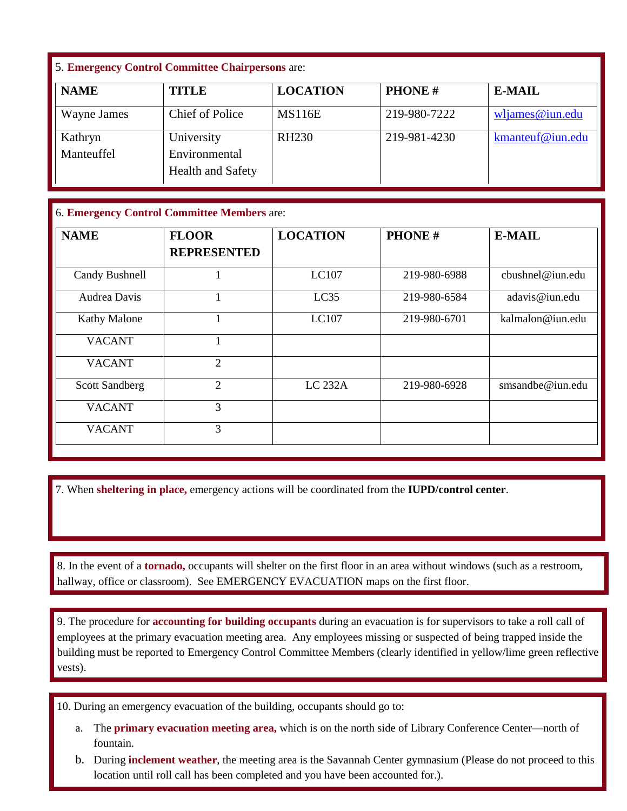### 5. **Emergency Control Committee Chairpersons** are:

| <b>NAME</b> | <b>TITLE</b>                              | <b>LOCATION</b> | <b>PHONE#</b> | <b>E-MAIL</b>      |
|-------------|-------------------------------------------|-----------------|---------------|--------------------|
| Wayne James | <b>Chief of Police</b>                    | <b>MS116E</b>   | 219-980-7222  | $w$ ljames@iun.edu |
| Kathryn     | University                                | <b>RH230</b>    | 219-981-4230  | kmanteuf@iun.edu   |
| Manteuffel  | Environmental<br><b>Health and Safety</b> |                 |               |                    |

#### 6. **Emergency Control Committee Members** are:

| <b>NAME</b>           | <b>FLOOR</b><br><b>REPRESENTED</b> | <b>LOCATION</b> | <b>PHONE#</b> | <b>E-MAIL</b>    |
|-----------------------|------------------------------------|-----------------|---------------|------------------|
| Candy Bushnell        |                                    | LC107           | 219-980-6988  | cbushnel@iun.edu |
| Audrea Davis          |                                    | LC35            | 219-980-6584  | adavis@iun.edu   |
| <b>Kathy Malone</b>   |                                    | LC107           | 219-980-6701  | kalmalon@iun.edu |
| <b>VACANT</b>         |                                    |                 |               |                  |
| <b>VACANT</b>         | $\overline{2}$                     |                 |               |                  |
| <b>Scott Sandberg</b> | $\overline{2}$                     | LC 232A         | 219-980-6928  | smsandbe@iun.edu |
| <b>VACANT</b>         | 3                                  |                 |               |                  |
| <b>VACANT</b>         | 3                                  |                 |               |                  |

7. When **sheltering in place,** emergency actions will be coordinated from the **IUPD/control center**.

 $\ddot{\phantom{0}}$  hallway, office or classroom). See EMERGENCY EVACUATION maps on the first floor. 8. In the event of a **tornado**, occupants will shelter on the first floor in an area without windows (such as a restroom, hallway, office or classroom). See EMERGENCY EVACUATION maps on the first floor. 8. In the event of a **tornado,** occupants will shelter on the first floor in an area without windows (such as a restroom,

 9. The procedure for **accounting for building occupants** during an evacuation is for supervisors to take a roll call of employees at the primary evacuation meeting area. Any employees missing or suspected of being trapped inside the building must be reported to Emergency Control Committee Members (clearly identified in yellow/lime green reflective vests).

10. During an emergency evacuation of the building, occupants should go to:

- a. The **primary evacuation meeting area,** which is on the north side of Library Conference Center—north of fountain.
- b. During **inclement weather**, the meeting area is the Savannah Center gymnasium (Please do not proceed to this location until roll call has been completed and you have been accounted for.).